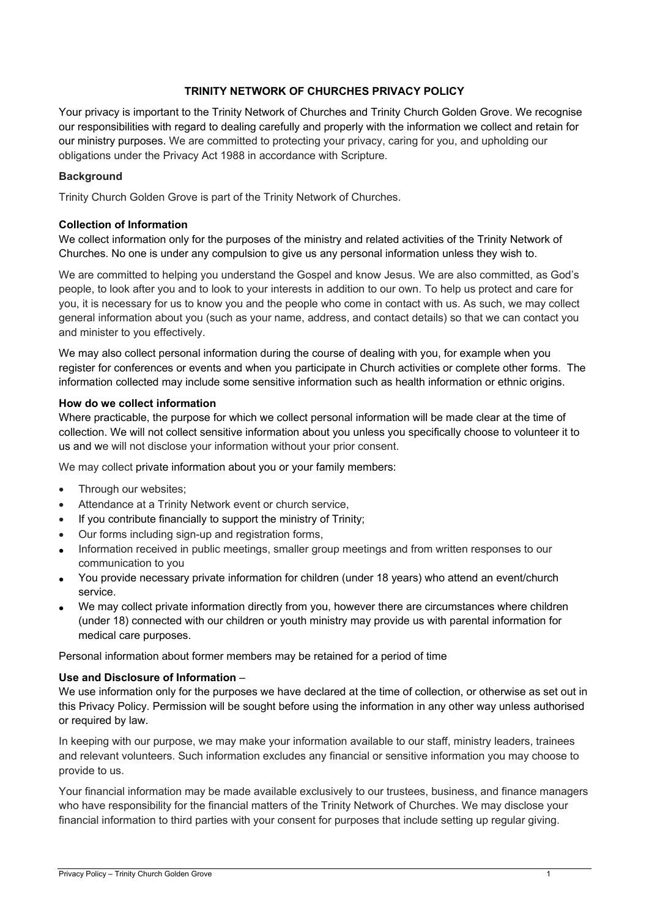## **TRINITY NETWORK OF CHURCHES PRIVACY POLICY**

Your privacy is important to the Trinity Network of Churches and Trinity Church Golden Grove. We recognise our responsibilities with regard to dealing carefully and properly with the information we collect and retain for our ministry purposes. We are committed to protecting your privacy, caring for you, and upholding our obligations under the Privacy Act 1988 in accordance with Scripture.

### **Background**

Trinity Church Golden Grove is part of the Trinity Network of Churches.

### **Collection of Information**

We collect information only for the purposes of the ministry and related activities of the Trinity Network of Churches. No one is under any compulsion to give us any personal information unless they wish to.

We are committed to helping you understand the Gospel and know Jesus. We are also committed, as God's people, to look after you and to look to your interests in addition to our own. To help us protect and care for you, it is necessary for us to know you and the people who come in contact with us. As such, we may collect general information about you (such as your name, address, and contact details) so that we can contact you and minister to you effectively.

We may also collect personal information during the course of dealing with you, for example when you register for conferences or events and when you participate in Church activities or complete other forms. The information collected may include some sensitive information such as health information or ethnic origins.

### **How do we collect information**

Where practicable, the purpose for which we collect personal information will be made clear at the time of collection. We will not collect sensitive information about you unless you specifically choose to volunteer it to us and we will not disclose your information without your prior consent.

We may collect private information about you or your family members:

- Through our websites;
- Attendance at a Trinity Network event or church service,
- If you contribute financially to support the ministry of Trinity;
- Our forms including sign-up and registration forms,
- Information received in public meetings, smaller group meetings and from written responses to our communication to you
- You provide necessary private information for children (under 18 years) who attend an event/church service.
- We may collect private information directly from you, however there are circumstances where children (under 18) connected with our children or youth ministry may provide us with parental information for medical care purposes.

Personal information about former members may be retained for a period of time

### **Use and Disclosure of Information** –

We use information only for the purposes we have declared at the time of collection, or otherwise as set out in this Privacy Policy. Permission will be sought before using the information in any other way unless authorised or required by law.

In keeping with our purpose, we may make your information available to our staff, ministry leaders, trainees and relevant volunteers. Such information excludes any financial or sensitive information you may choose to provide to us.

Your financial information may be made available exclusively to our trustees, business, and finance managers who have responsibility for the financial matters of the Trinity Network of Churches. We may disclose your financial information to third parties with your consent for purposes that include setting up regular giving.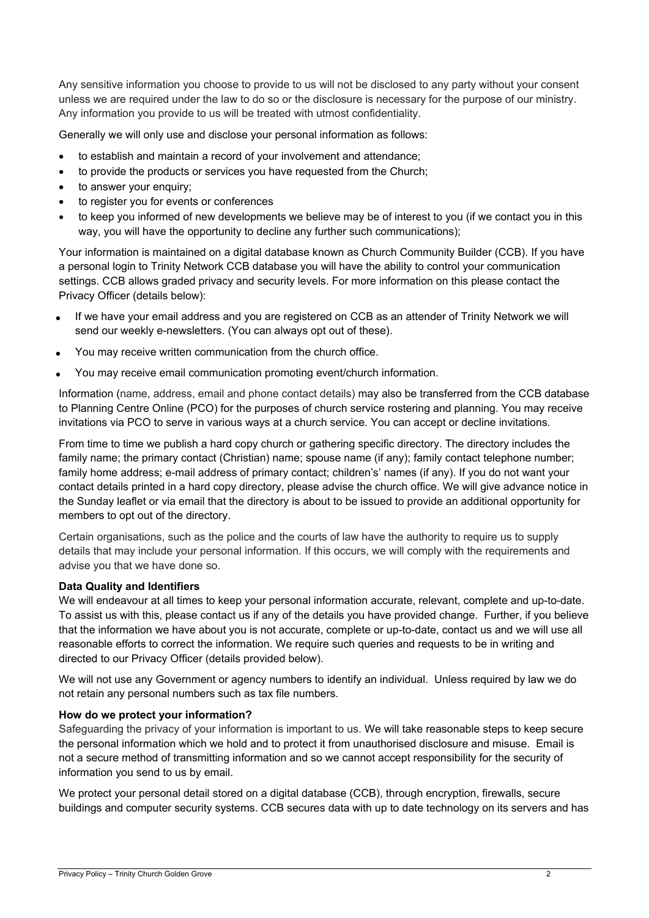Any sensitive information you choose to provide to us will not be disclosed to any party without your consent unless we are required under the law to do so or the disclosure is necessary for the purpose of our ministry. Any information you provide to us will be treated with utmost confidentiality.

Generally we will only use and disclose your personal information as follows:

- to establish and maintain a record of your involvement and attendance;
- to provide the products or services you have requested from the Church;
- to answer your enquiry:
- to register you for events or conferences
- to keep you informed of new developments we believe may be of interest to you (if we contact you in this way, you will have the opportunity to decline any further such communications);

Your information is maintained on a digital database known as Church Community Builder (CCB). If you have a personal login to Trinity Network CCB database you will have the ability to control your communication settings. CCB allows graded privacy and security levels. For more information on this please contact the Privacy Officer (details below):

- If we have your email address and you are registered on CCB as an attender of Trinity Network we will send our weekly e-newsletters. (You can always opt out of these).
- You may receive written communication from the church office.
- You may receive email communication promoting event/church information.

Information (name, address, email and phone contact details) may also be transferred from the CCB database to Planning Centre Online (PCO) for the purposes of church service rostering and planning. You may receive invitations via PCO to serve in various ways at a church service. You can accept or decline invitations.

From time to time we publish a hard copy church or gathering specific directory. The directory includes the family name; the primary contact (Christian) name; spouse name (if any); family contact telephone number; family home address; e-mail address of primary contact; children's' names (if any). If you do not want your contact details printed in a hard copy directory, please advise the church office. We will give advance notice in the Sunday leaflet or via email that the directory is about to be issued to provide an additional opportunity for members to opt out of the directory.

Certain organisations, such as the police and the courts of law have the authority to require us to supply details that may include your personal information. If this occurs, we will comply with the requirements and advise you that we have done so.

### **Data Quality and Identifiers**

We will endeavour at all times to keep your personal information accurate, relevant, complete and up-to-date. To assist us with this, please contact us if any of the details you have provided change. Further, if you believe that the information we have about you is not accurate, complete or up-to-date, contact us and we will use all reasonable efforts to correct the information. We require such queries and requests to be in writing and directed to our Privacy Officer (details provided below).

We will not use any Government or agency numbers to identify an individual. Unless required by law we do not retain any personal numbers such as tax file numbers.

### **How do we protect your information?**

Safeguarding the privacy of your information is important to us. We will take reasonable steps to keep secure the personal information which we hold and to protect it from unauthorised disclosure and misuse. Email is not a secure method of transmitting information and so we cannot accept responsibility for the security of information you send to us by email.

We protect your personal detail stored on a digital database (CCB), through encryption, firewalls, secure buildings and computer security systems. CCB secures data with up to date technology on its servers and has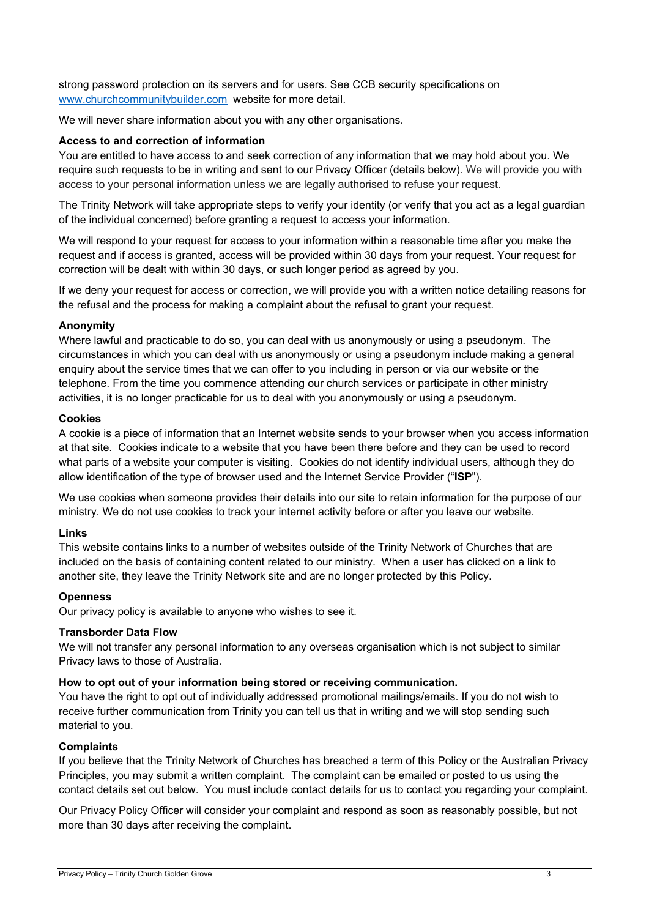strong password protection on its servers and for users. See CCB security specifications on www.churchcommunitybuilder.com website for more detail.

We will never share information about you with any other organisations.

### **Access to and correction of information**

You are entitled to have access to and seek correction of any information that we may hold about you. We require such requests to be in writing and sent to our Privacy Officer (details below). We will provide you with access to your personal information unless we are legally authorised to refuse your request.

The Trinity Network will take appropriate steps to verify your identity (or verify that you act as a legal guardian of the individual concerned) before granting a request to access your information.

We will respond to your request for access to your information within a reasonable time after you make the request and if access is granted, access will be provided within 30 days from your request. Your request for correction will be dealt with within 30 days, or such longer period as agreed by you.

If we deny your request for access or correction, we will provide you with a written notice detailing reasons for the refusal and the process for making a complaint about the refusal to grant your request.

### **Anonymity**

Where lawful and practicable to do so, you can deal with us anonymously or using a pseudonym. The circumstances in which you can deal with us anonymously or using a pseudonym include making a general enquiry about the service times that we can offer to you including in person or via our website or the telephone. From the time you commence attending our church services or participate in other ministry activities, it is no longer practicable for us to deal with you anonymously or using a pseudonym.

### **Cookies**

A cookie is a piece of information that an Internet website sends to your browser when you access information at that site. Cookies indicate to a website that you have been there before and they can be used to record what parts of a website your computer is visiting. Cookies do not identify individual users, although they do allow identification of the type of browser used and the Internet Service Provider ("**ISP**").

We use cookies when someone provides their details into our site to retain information for the purpose of our ministry. We do not use cookies to track your internet activity before or after you leave our website.

# **Links**

This website contains links to a number of websites outside of the Trinity Network of Churches that are included on the basis of containing content related to our ministry. When a user has clicked on a link to another site, they leave the Trinity Network site and are no longer protected by this Policy.

### **Openness**

Our privacy policy is available to anyone who wishes to see it.

### **Transborder Data Flow**

We will not transfer any personal information to any overseas organisation which is not subject to similar Privacy laws to those of Australia.

# **How to opt out of your information being stored or receiving communication.**

You have the right to opt out of individually addressed promotional mailings/emails. If you do not wish to receive further communication from Trinity you can tell us that in writing and we will stop sending such material to you.

### **Complaints**

If you believe that the Trinity Network of Churches has breached a term of this Policy or the Australian Privacy Principles, you may submit a written complaint. The complaint can be emailed or posted to us using the contact details set out below. You must include contact details for us to contact you regarding your complaint.

Our Privacy Policy Officer will consider your complaint and respond as soon as reasonably possible, but not more than 30 days after receiving the complaint.